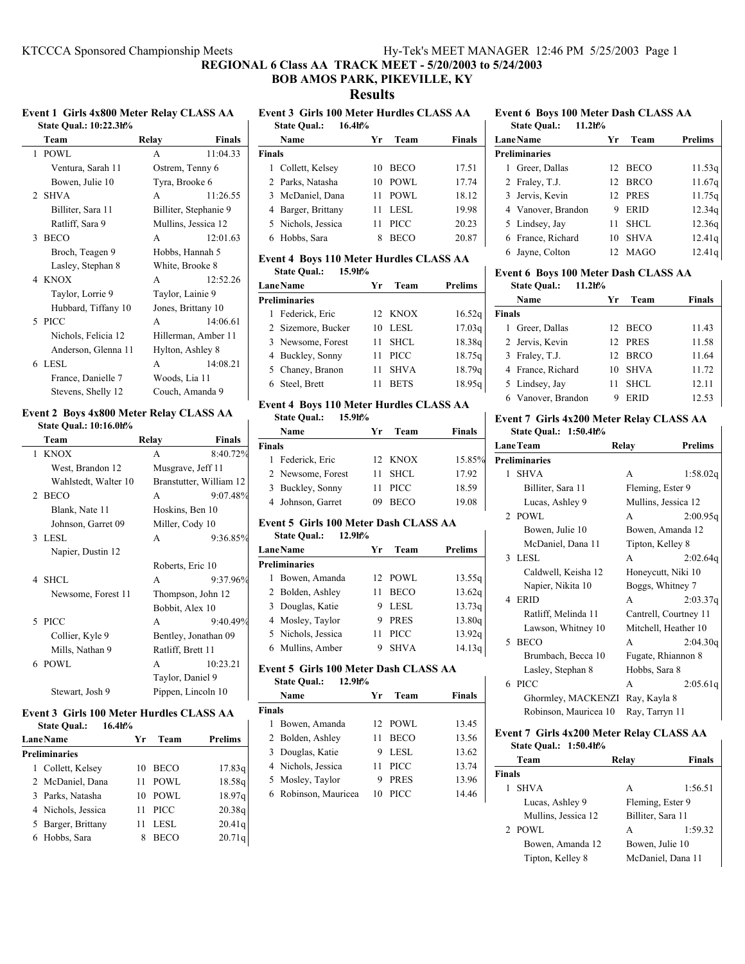**REGIONAL 6 Class AA TRACK MEET - 5/20/2003 to 5/24/2003**

# **BOB AMOS PARK, PIKEVILLE, KY**

**Results**

## **Event 1 Girls 4x800 Meter Relay CLASS AA State Qual.: 10:22.3h%**

| Team                | Relay            | <b>Finals</b>         |
|---------------------|------------------|-----------------------|
| $1$ POWL            | A                | 11:04.33              |
| Ventura, Sarah 11   | Ostrem, Tenny 6  |                       |
| Bowen, Julie 10     | Tyra, Brooke 6   |                       |
| 2 SHVA              | A                | 11:26.55              |
| Billiter, Sara 11   |                  | Billiter, Stephanie 9 |
| Ratliff, Sara 9     |                  | Mullins, Jessica 12   |
| 3 BECO              | A                | 12:01.63              |
| Broch, Teagen 9     | Hobbs, Hannah 5  |                       |
| Lasley, Stephan 8   | White, Brooke 8  |                       |
| 4 KNOX              | A                | 12:52.26              |
| Taylor, Lorrie 9    | Taylor, Lainie 9 |                       |
| Hubbard, Tiffany 10 |                  | Jones, Brittany 10    |
| 5 PICC              | A                | 14:06.61              |
| Nichols, Felicia 12 |                  | Hillerman, Amber 11   |
| Anderson, Glenna 11 | Hylton, Ashley 8 |                       |
| 6 LESL              | A                | 14:08.21              |
| France, Danielle 7  | Woods, Lia 11    |                       |
| Stevens, Shelly 12  |                  | Couch, Amanda 9       |

## **Event 2 Boys 4x800 Meter Relay CLASS AA State Qual.: 10:16.0h%**

| Team                 | Relay                   | <b>Finals</b> |
|----------------------|-------------------------|---------------|
| 1 KNOX               | A                       | 8:40.72%      |
| West, Brandon 12     | Musgrave, Jeff 11       |               |
| Wahlstedt, Walter 10 | Branstutter, William 12 |               |
| 2 BECO               | A                       | 9:07.48%      |
| Blank, Nate 11       | Hoskins, Ben 10         |               |
| Johnson, Garret 09   | Miller, Cody 10         |               |
| 3 LESL               | A                       | 9:36.85%      |
| Napier, Dustin 12    |                         |               |
|                      | Roberts, Eric 10        |               |
| 4 SHCL               | A                       | 9:37.96%      |
| Newsome, Forest 11   | Thompson, John 12       |               |
|                      | Bobbit, Alex 10         |               |
| 5 PICC               | A                       | 9:40.49%      |
| Collier, Kyle 9      | Bentley, Jonathan 09    |               |
| Mills, Nathan 9      | Ratliff, Brett 11       |               |
| 6 POWL               | A                       | 10:23.21      |
|                      | Taylor, Daniel 9        |               |
| Stewart, Josh 9      | Pippen, Lincoln 10      |               |

# **Event 3 Girls 100 Meter Hurdles CLASS AA**

| <b>State Qual.:</b> | 16.4 <sub>0</sub> |
|---------------------|-------------------|
|                     |                   |

| <b>Lane Name</b>     | Уr | Team        | <b>Prelims</b> |
|----------------------|----|-------------|----------------|
| <b>Preliminaries</b> |    |             |                |
| 1 Collett, Kelsey    |    | 10 BECO     | 17.83q         |
| 2 McDaniel, Dana     | 11 | <b>POWL</b> | 18.58g         |
| 3 Parks, Natasha     |    | 10 POWL     | 18.97g         |
| 4 Nichols, Jessica   | 11 | <b>PICC</b> | 20.38q         |
| 5 Barger, Brittany   | 11 | <b>LESL</b> | 20.41q         |
| 6 Hobbs, Sara        |    | <b>BECO</b> | 20.71q         |

## **Event 3 Girls 100 Meter Hurdles CLASS AA State Qual.: 16.4h% Name Yr Team Finals Finals**

| чиятs |                    |    |             |       |
|-------|--------------------|----|-------------|-------|
|       | 1 Collett, Kelsey  | 10 | BECO        | 17.51 |
|       | 2 Parks, Natasha   | 10 | POWL        | 17.74 |
|       | 3 McDaniel, Dana   | 11 | POWL        | 18.12 |
|       | 4 Barger, Brittany |    | 11 LESL     | 19.98 |
|       | 5 Nichols, Jessica | 11 | - PICC      | 20.23 |
|       | 6 Hobbs, Sara      |    | <b>BECO</b> | 20.87 |

## **Event 4 Boys 110 Meter Hurdles CLASS AA State Qual.: 15.9h%**

| <b>LaneName</b>      | Уr | Team        | <b>Prelims</b> |
|----------------------|----|-------------|----------------|
| <b>Preliminaries</b> |    |             |                |
| 1 Federick, Eric     |    | 12 KNOX     | 16.52q         |
| 2 Sizemore, Bucker   |    | 10 LESL     | 17.03q         |
| 3 Newsome, Forest    | 11 | <b>SHCL</b> | 18.38g         |
| 4 Buckley, Sonny     | 11 | <b>PICC</b> | 18.75q         |
| 5 Chaney, Branon     | 11 | <b>SHVA</b> | 18.79q         |
| 6 Steel, Brett       |    | <b>BETS</b> | 18.95g         |

## **Event 4 Boys 110 Meter Hurdles CLASS AA State Qual.: 15.9h%**

|               | Name              | Yr  | Team        | <b>Finals</b> |
|---------------|-------------------|-----|-------------|---------------|
| <b>Finals</b> |                   |     |             |               |
|               | 1 Federick, Eric  |     | 12 KNOX     | 15.85%        |
|               | 2 Newsome, Forest | 11. | - SHCL      | 17.92         |
|               | 3 Buckley, Sonny  | 11  | <b>PICC</b> | 18.59         |
|               | 4 Johnson, Garret | 09  | <b>BECO</b> | 19.08         |
|               |                   |     |             |               |

## **Event 5 Girls 100 Meter Dash CLASS AA State Qual.: 12.9h%**

| <b>LaneName</b>      | Уr | Team        | Prelims |
|----------------------|----|-------------|---------|
| <b>Preliminaries</b> |    |             |         |
| 1 Bowen, Amanda      |    | 12 POWL     | 13.55q  |
| 2 Bolden, Ashley     |    | <b>BECO</b> | 13.62q  |
| 3 Douglas, Katie     | 9  | LESL        | 13.73q  |
| 4 Mosley, Taylor     | 9  | <b>PRES</b> | 13.80q  |
| 5 Nichols, Jessica   | 11 | <b>PICC</b> | 13.92q  |
| 6 Mullins, Amber     | 9  | <b>SHVA</b> | 14.13g  |

#### **Event 5 Girls 100 Meter Dash CLASS AA State Qual.: 12.9h%**

|               | State Qual.:<br>12.91170 |    |             |        |
|---------------|--------------------------|----|-------------|--------|
|               | Name                     | Уr | Team        | Finals |
| <b>Finals</b> |                          |    |             |        |
|               | 1 Bowen, Amanda          |    | 12 POWL     | 13.45  |
|               | 2 Bolden, Ashley         | 11 | <b>BECO</b> | 13.56  |
|               | 3 Douglas, Katie         |    | 9 LESL      | 13.62  |
|               | 4 Nichols, Jessica       | 11 | <b>PICC</b> | 13.74  |
|               | 5 Mosley, Taylor         | 9  | <b>PRES</b> | 13.96  |
|               | 6 Robinson, Mauricea     | 10 | <b>PICC</b> | 14.46  |
|               |                          |    |             |        |

#### **Event 6 Boys 100 Meter Dash CLASS AA State Qual.: 11.2h%**

|   | $11.2h$ %<br><b>State Qual.:</b> |     |             |                |
|---|----------------------------------|-----|-------------|----------------|
|   | <b>LaneName</b>                  | Уr  | Team        | <b>Prelims</b> |
|   | <b>Preliminaries</b>             |     |             |                |
| 1 | Greer, Dallas                    |     | 12 BECO     | 11.53q         |
|   | 2 Fraley, T.J.                   |     | 12 BRCO     | 11.67g         |
|   | 3 Jervis, Kevin                  | 12. | <b>PRES</b> | 11.75q         |
|   | 4 Vanover, Brandon               | 9   | <b>ERID</b> | 12.34g         |
|   | 5 Lindsey, Jay                   | 11  | SHCL.       | 12.36g         |
|   | 6 France, Richard                | 10  | <b>SHVA</b> | 12.41g         |
| 6 | Jayne, Colton                    | 12. | MAGO        | 12.41g         |

# **Event 6 Boys 100 Meter Dash CLASS AA**

**State Qual.: 11.2h%**

|               | Name               | Vr | Team        | Finals |
|---------------|--------------------|----|-------------|--------|
| <b>Finals</b> |                    |    |             |        |
| 1             | Greer, Dallas      |    | 12 BECO     | 11.43  |
|               | 2 Jervis, Kevin    |    | 12 PRES     | 11.58  |
|               | 3 Fraley, T.J.     |    | 12 BRCO     | 11.64  |
|               | 4 France, Richard  | 10 | <b>SHVA</b> | 11.72  |
|               | 5 Lindsey, Jay     | 11 | SHCL.       | 12.11  |
|               | 6 Vanover, Brandon | q  | ERID        | 12.53  |

#### **Event 7 Girls 4x200 Meter Relay CLASS AA State Qual.: 1:50.4h%**

|   | <b>LaneTeam</b>       | Relay          | <b>Prelims</b>        |
|---|-----------------------|----------------|-----------------------|
|   | <b>Preliminaries</b>  |                |                       |
| 1 |                       |                |                       |
|   | <b>SHVA</b>           | A              | 1:58.02q              |
|   | Billiter, Sara 11     |                | Fleming, Ester 9      |
|   | Lucas, Ashley 9       |                | Mullins, Jessica 12   |
|   | 2 POWL                | A              | 2:00.95q              |
|   | Bowen, Julie 10       |                | Bowen, Amanda 12      |
|   | McDaniel, Dana 11     |                | Tipton, Kelley 8      |
|   | 3 LESL                | A              | 2:02.64q              |
|   | Caldwell, Keisha 12   |                | Honeycutt, Niki 10    |
|   | Napier, Nikita 10     |                | Boggs, Whitney 7      |
|   | 4 ERID                | A              | 2:03.37q              |
|   | Ratliff, Melinda 11   |                | Cantrell, Courtney 11 |
|   | Lawson, Whitney 10    |                | Mitchell, Heather 10  |
| 5 | <b>BECO</b>           | A              | 2:04.30q              |
|   | Brumbach, Becca 10    |                | Fugate, Rhiannon 8    |
|   | Lasley, Stephan 8     | Hobbs, Sara 8  |                       |
|   | 6 PICC                | A              | 2:05.61q              |
|   | Ghormley, MACKENZI    | Ray, Kayla 8   |                       |
|   | Robinson, Mauricea 10 | Ray, Tarryn 11 |                       |

## **Event 7 Girls 4x200 Meter Relay CLASS AA State Qual.: 1:50.4h%**

| Team          |                     | Relay             | <b>Finals</b>     |
|---------------|---------------------|-------------------|-------------------|
| <b>Finals</b> |                     |                   |                   |
| 1             | <b>SHVA</b>         | A                 | 1:56.51           |
|               | Lucas, Ashley 9     | Fleming, Ester 9  |                   |
|               | Mullins, Jessica 12 | Billiter, Sara 11 |                   |
|               | 2 POWL              | A                 | 1:59.32           |
|               | Bowen, Amanda 12    | Bowen, Julie 10   |                   |
|               | Tipton, Kelley 8    |                   | McDaniel, Dana 11 |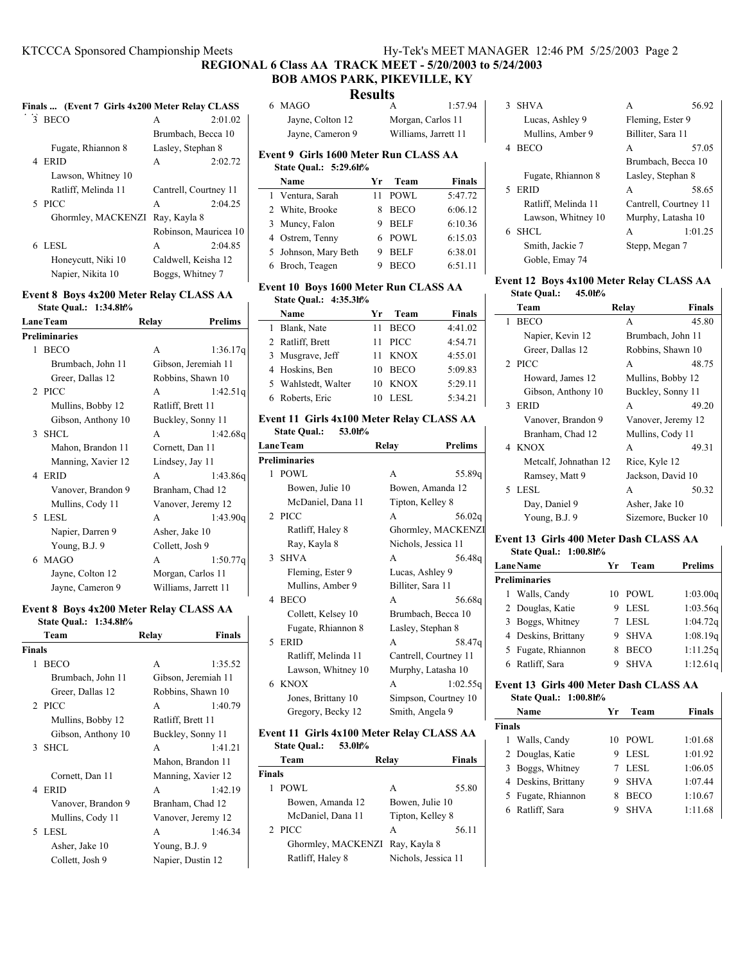**REGIONAL 6 Class AA TRACK MEET - 5/20/2003 to 5/24/2003**

#### **BOB AMOS PARK, PIKEVILLE, KY Results**

| Finals  (Event 7 Girls 4x200 Meter Relay CLASS |                       |         |
|------------------------------------------------|-----------------------|---------|
| 3 BECO                                         | A                     | 2:01.02 |
|                                                | Brumbach, Becca 10    |         |
| Fugate, Rhiannon 8                             | Lasley, Stephan 8     |         |
| 4 ERID                                         | A                     | 2:02.72 |
| Lawson, Whitney 10                             |                       |         |
| Ratliff, Melinda 11                            | Cantrell, Courtney 11 |         |
| 5 PICC                                         | A                     | 2:04.25 |
| Ghormley, MACKENZI                             | Ray, Kayla 8          |         |
|                                                | Robinson, Mauricea 10 |         |
| 6 LESL                                         | A                     | 2:04.85 |
| Caldwell, Keisha 12<br>Honeycutt, Niki 10      |                       |         |
| Napier, Nikita 10                              | Boggs, Whitney 7      |         |

### **Event 8 Boys 4x200 Meter Relay CLASS AA State Qual.: 1:34.8h%**

| <b>LaneTeam</b> |                      | Relay             | <b>Prelims</b>       |
|-----------------|----------------------|-------------------|----------------------|
|                 | <b>Preliminaries</b> |                   |                      |
| 1.              | <b>BECO</b>          | A                 | 1:36.17q             |
|                 | Brumbach, John 11    |                   | Gibson, Jeremiah 11  |
|                 | Greer, Dallas 12     |                   | Robbins, Shawn 10    |
|                 | $2$ PICC             | A                 | 1:42.51q             |
|                 | Mullins, Bobby 12    | Ratliff, Brett 11 |                      |
|                 | Gibson, Anthony 10   |                   | Buckley, Sonny 11    |
|                 | 3 SHCL               | A                 | 1:42.68q             |
|                 | Mahon, Brandon 11    | Cornett, Dan 11   |                      |
|                 | Manning, Xavier 12   | Lindsey, Jay 11   |                      |
|                 | 4 ERID               | A                 | 1:43.86g             |
|                 | Vanover, Brandon 9   |                   | Branham, Chad 12     |
|                 | Mullins, Cody 11     |                   | Vanover, Jeremy 12   |
|                 | 5 LESL               | A                 | 1:43.90q             |
|                 | Napier, Darren 9     | Asher, Jake 10    |                      |
|                 | Young, B.J. 9        | Collett, Josh 9   |                      |
|                 | 6 MAGO               | A                 | 1:50.77q             |
|                 | Jayne, Colton 12     | Morgan, Carlos 11 |                      |
|                 | Jayne, Cameron 9     |                   | Williams, Jarrett 11 |
|                 |                      |                   |                      |

#### **Event 8 Boys 4x200 Meter Relay CLASS AA State Qual.: 1:34.8h%**

|               | 5.0000             |                   |                     |
|---------------|--------------------|-------------------|---------------------|
|               | Team               | Relay             | <b>Finals</b>       |
| <b>Finals</b> |                    |                   |                     |
| 1             | <b>BECO</b>        | A                 | 1:35.52             |
|               | Brumbach, John 11  |                   | Gibson, Jeremiah 11 |
|               | Greer, Dallas 12   |                   | Robbins, Shawn 10   |
|               | 2 PICC             | A                 | 1:40.79             |
|               | Mullins, Bobby 12  | Ratliff, Brett 11 |                     |
|               | Gibson, Anthony 10 |                   | Buckley, Sonny 11   |
|               | 3 SHCL             | A                 | 1:41.21             |
|               |                    |                   | Mahon, Brandon 11   |
|               | Cornett, Dan 11    |                   | Manning, Xavier 12  |
|               | 4 ERID             | A                 | 1:42.19             |
|               | Vanover, Brandon 9 |                   | Branham, Chad 12    |
|               | Mullins, Cody 11   |                   | Vanover, Jeremy 12  |
|               | 5 LESL             | A                 | 1:46.34             |
|               | Asher, Jake 10     | Young, $B.J.9$    |                     |
|               | Collett, Josh 9    |                   | Napier, Dustin 12   |
|               |                    |                   |                     |

|                  |                                          | IXESUILS          |             |               |
|------------------|------------------------------------------|-------------------|-------------|---------------|
|                  | 6 MAGO                                   |                   | А           | 1:57.94       |
| Jayne, Colton 12 |                                          | Morgan, Carlos 11 |             |               |
|                  | Jayne, Cameron 9<br>Williams, Jarrett 11 |                   |             |               |
|                  | Event 9 Girls 1600 Meter Run CLASS AA    |                   |             |               |
|                  | State Qual.: 5:29.6h%                    |                   |             |               |
|                  | Name                                     | Yr                | Team        | <b>Finals</b> |
|                  | 1 Ventura, Sarah                         | 11                | POWL        | 5:47.72       |
|                  | 2 White, Brooke                          | 8                 | <b>BECO</b> | 6:06.12       |
|                  | 3 Muncy, Falon                           | 9                 | <b>BELF</b> | 6:10.36       |

# **Event 10 Boys 1600 Meter Run CLASS AA**

 $\overline{\phantom{a}}$ 

5 Johnson, Mary Beth 9 BELF 6:38.01 6:51.11 6 6:51.11 **Broch, Teagen** 9 **BECO** 6:51.11

|                     | State Oual.: 4:35.3h% |    |             |               |
|---------------------|-----------------------|----|-------------|---------------|
| Name                |                       | Yr | Team        | <b>Finals</b> |
| 1 Blank, Nate       |                       | 11 | <b>BECO</b> | 4:41.02       |
| 2 Ratliff, Brett    |                       | 11 | <b>PICC</b> | 4:54.71       |
| 3 Musgrave, Jeff    |                       | 11 | <b>KNOX</b> | 4:55.01       |
| 4 Hoskins, Ben      |                       | 10 | <b>BECO</b> | 5:09.83       |
| 5 Wahlstedt, Walter |                       | 10 | <b>KNOX</b> | 5:29.11       |
| 6 Roberts, Eric     |                       | 10 | LESL.       | 5:34.21       |

### **Event 11 Girls 4x100 Meter Relay CLASS AA State Qual.: 53.0h%**

| Lane Team           | Relay | <b>Prelims</b>                                                              |
|---------------------|-------|-----------------------------------------------------------------------------|
| Preliminaries       |       |                                                                             |
| <b>POWL</b>         | A     | 55.89g                                                                      |
| Bowen, Julie 10     |       | Bowen, Amanda 12                                                            |
| McDaniel, Dana 11   |       |                                                                             |
| 2 PICC              | A     | 56.02 <sub>q</sub>                                                          |
| Ratliff, Haley 8    |       | Ghormley, MACKENZI                                                          |
| Ray, Kayla 8        |       | Nichols, Jessica 11                                                         |
| 3 SHVA              | A     | 56.48g                                                                      |
| Fleming, Ester 9    |       |                                                                             |
| Mullins, Amber 9    |       |                                                                             |
| 4 BECO              | A     | 56.68g                                                                      |
| Collett, Kelsey 10  |       | Brumbach, Becca 10                                                          |
| Fugate, Rhiannon 8  |       | Lasley, Stephan 8                                                           |
| 5 ERID              | A     | 58.47g                                                                      |
| Ratliff, Melinda 11 |       | Cantrell, Courtney 11                                                       |
| Lawson, Whitney 10  |       | Murphy, Latasha 10                                                          |
| 6 KNOX              | A     | 1:02.55q                                                                    |
| Jones, Brittany 10  |       | Simpson, Courtney 10                                                        |
| Gregory, Becky 12   |       |                                                                             |
|                     |       | Tipton, Kelley 8<br>Lucas, Ashley 9<br>Billiter, Sara 11<br>Smith, Angela 9 |

#### **Event 11 Girls 4x100 Meter Relay CLASS AA State Qual.: 53.0h%**

|               | statt Vual<br><i>JJ</i> .VII/V  |                     |        |
|---------------|---------------------------------|---------------------|--------|
|               | Team                            | Relav               | Finals |
| <b>Finals</b> |                                 |                     |        |
|               | POWL                            | A                   | 55.80  |
|               | Bowen, Amanda 12                | Bowen, Julie 10     |        |
|               | McDaniel, Dana 11               | Tipton, Kelley 8    |        |
|               | 2 PICC                          | A                   | 56.11  |
|               | Ghormley, MACKENZI Ray, Kayla 8 |                     |        |
|               | Ratliff, Haley 8                | Nichols, Jessica 11 |        |
|               |                                 |                     |        |

| <b>SHVA</b><br>3    | 56.92<br>А            |  |
|---------------------|-----------------------|--|
| Lucas, Ashley 9     | Fleming, Ester 9      |  |
| Mullins, Amber 9    | Billiter, Sara 11     |  |
| <b>BECO</b><br>4    | 57.05<br>A            |  |
|                     | Brumbach, Becca 10    |  |
| Fugate, Rhiannon 8  | Lasley, Stephan 8     |  |
| 5 ERID              | 58.65<br>A            |  |
| Ratliff, Melinda 11 | Cantrell, Courtney 11 |  |
| Lawson, Whitney 10  | Murphy, Latasha 10    |  |
| SHCL.<br>6.         | 1:01.25<br>A          |  |
| Smith, Jackie 7     | Stepp, Megan 7        |  |
| Goble, Emay 74      |                       |  |

## **Event 12 Boys 4x100 Meter Relay CLASS AA State Qual.: 45.0h%**

| Team                  | Relay             | <b>Finals</b>       |
|-----------------------|-------------------|---------------------|
| 1 BECO                | A                 | 45.80               |
| Napier, Kevin 12      | Brumbach, John 11 |                     |
| Greer, Dallas 12      | Robbins, Shawn 10 |                     |
| 2 PICC                | A                 | 48.75               |
| Howard, James 12      | Mullins, Bobby 12 |                     |
| Gibson, Anthony 10    | Buckley, Sonny 11 |                     |
| ERID<br>3             | A                 | 49.20               |
| Vanover, Brandon 9    |                   | Vanover, Jeremy 12  |
| Branham, Chad 12      | Mullins, Cody 11  |                     |
| 4 KNOX                | A                 | 49.31               |
| Metcalf, Johnathan 12 | Rice, Kyle 12     |                     |
| Ramsey, Matt 9        | Jackson, David 10 |                     |
| 5 LESL                | A                 | 50.32               |
| Day, Daniel 9         | Asher, Jake 10    |                     |
| Young, $B.J.9$        |                   | Sizemore, Bucker 10 |

## **Event 13 Girls 400 Meter Dash CLASS AA**

| <b>State Oual.: 1:00.8h%</b> |    |             |                |
|------------------------------|----|-------------|----------------|
| <b>LaneName</b>              | Уr | Team        | <b>Prelims</b> |
| <b>Preliminaries</b>         |    |             |                |
| Walls, Candy                 | 10 | POWL        | 1:03.00q       |
| 2 Douglas, Katie             | 9  | LESL        | 1:03.56q       |
| 3 Boggs, Whitney             |    | LESL        | 1:04.72q       |
| 4 Deskins, Brittany          | 9  | <b>SHVA</b> | 1:08.19q       |
| 5 Fugate, Rhiannon           |    | <b>BECO</b> | 1:11.25q       |
| 6 Ratliff, Sara              |    | <b>SHVA</b> | 1:12.61q       |

## **Event 13 Girls 400 Meter Dash CLASS AA State Qual.: 1:00.8h%**

| Name                | Vг | Team        | <b>Finals</b> |
|---------------------|----|-------------|---------------|
| <b>Finals</b>       |    |             |               |
| 1 Walls, Candy      | 10 |             | 1:01.68       |
| 2 Douglas, Katie    | 9  | LESL        | 1:01.92       |
| 3 Boggs, Whitney    |    |             | 1:06.05       |
| 4 Deskins, Brittany | 9  | <b>SHVA</b> | 1:07.44       |
| 5 Fugate, Rhiannon  |    | <b>BECO</b> | 1:10.67       |
| 6 Ratliff, Sara     |    | <b>SHVA</b> | 1:11.68       |
|                     |    |             | POWL<br>LESL  |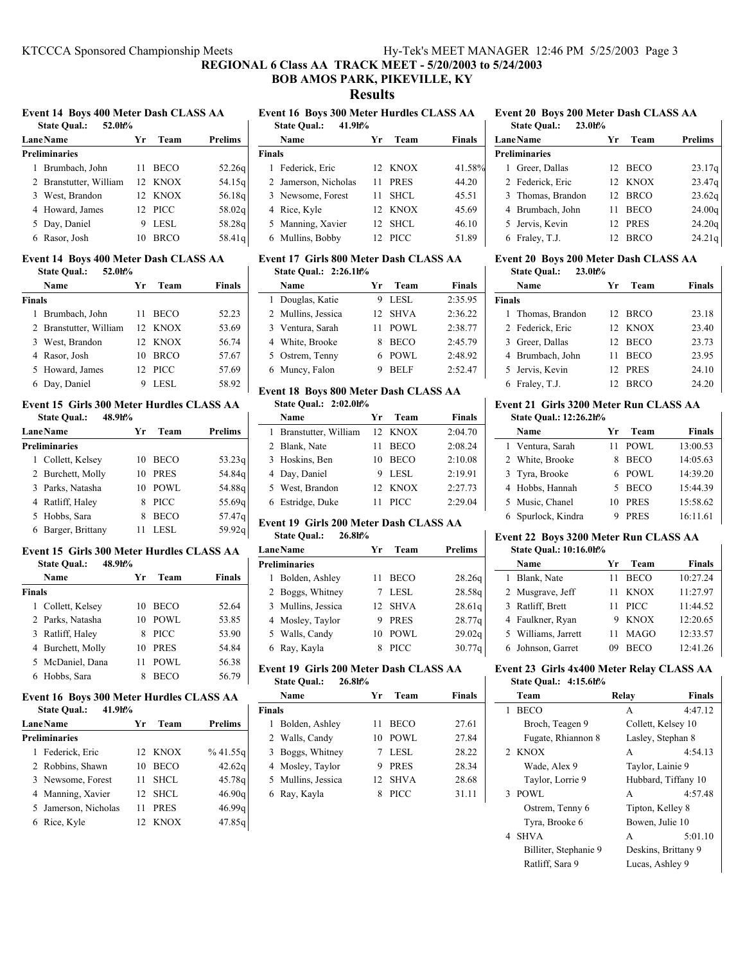**REGIONAL 6 Class AA TRACK MEET - 5/20/2003 to 5/24/2003**

# **BOB AMOS PARK, PIKEVILLE, KY**

**Results**

# **Event 14 Boys 400 Meter Dash CLASS AA**

| 52.0h%<br><b>State Qual.:</b> |    |             |                |
|-------------------------------|----|-------------|----------------|
| <b>Lane Name</b>              | Yr | Team        | <b>Prelims</b> |
| <b>Preliminaries</b>          |    |             |                |
| 1 Brumbach, John              | 11 | <b>BECO</b> | 52.26q         |
| 2 Branstutter, William        |    | 12 KNOX     | 54.15q         |
| 3 West, Brandon               |    | 12 KNOX     | 56.18g         |
| 4 Howard, James               |    | 12 PICC     | 58.02q         |
| 5 Day, Daniel                 | 9  | <b>LESL</b> | 58.28q         |
| 6 Rasor, Josh                 |    | BRCO        | 58.41g         |

### **Event 14 Boys 400 Meter Dash CLASS AA State Qual.: 52.0h%**

|        | Name                   | Уr | Team        | <b>Finals</b> |
|--------|------------------------|----|-------------|---------------|
| Finals |                        |    |             |               |
|        | 1 Brumbach, John       | 11 | <b>BECO</b> | 52.23         |
|        | 2 Branstutter, William |    | 12 KNOX     | 53.69         |
|        | 3 West, Brandon        |    | 12 KNOX     | 56.74         |
|        | 4 Rasor, Josh          | 10 | <b>BRCO</b> | 57.67         |
|        | 5 Howard, James        |    | 12 PICC     | 57.69         |
|        | 6 Day, Daniel          |    | LESL        | 58.92         |

#### **Event 15 Girls 300 Meter Hurdles CLASS AA State Qual.: 48.9h%**

| <b>Lane Name</b>     | Yr | Team        | <b>Prelims</b> |
|----------------------|----|-------------|----------------|
| <b>Preliminaries</b> |    |             |                |
| 1 Collett, Kelsey    | 10 | <b>BECO</b> | 53.23q         |
| 2 Burchett, Molly    | 10 | <b>PRES</b> | 54.84q         |
| 3 Parks, Natasha     | 10 | POWL        | 54.88g         |
| 4 Ratliff, Haley     | 8  | <b>PICC</b> | 55.69g         |
| 5 Hobbs, Sara        | 8  | <b>BECO</b> | 57.47g         |
| 6 Barger, Brittany   |    | LESL        | 59.92g         |

# **Event 15 Girls 300 Meter Hurdles CLASS AA**

| 48.9h%<br><b>State Qual.:</b> |    |             |               |
|-------------------------------|----|-------------|---------------|
| Name                          | Уr | Team        | <b>Finals</b> |
| <b>Finals</b>                 |    |             |               |
| 1 Collett, Kelsey             | 10 | <b>BECO</b> | 52.64         |
| 2 Parks, Natasha              | 10 | POWL        | 53.85         |
| 3 Ratliff, Haley              | 8  | PICC        | 53.90         |
| 4 Burchett, Molly             | 10 | <b>PRES</b> | 54.84         |
| 5 McDaniel, Dana              | 11 | POWL        | 56.38         |
| 6 Hobbs, Sara                 |    | <b>BECO</b> | 56.79         |
|                               |    |             |               |

# **Event 16 Boys 300 Meter Hurdles CLASS AA**

| 41.9h%<br><b>State Qual.:</b> |    |             |                | Finals         |
|-------------------------------|----|-------------|----------------|----------------|
| <b>Lane Name</b>              | Yr | Team        | <b>Prelims</b> | E              |
| <b>Preliminaries</b>          |    |             |                | 2 <sub>1</sub> |
| 1 Federick, Eric              |    | 12 KNOX     | %41.55q        | 3 <sub>1</sub> |
| 2 Robbins, Shawn              | 10 | <b>BECO</b> | 42.62g         | 4 <sup>1</sup> |
| 3 Newsome, Forest             | 11 | <b>SHCL</b> | 45.78g         | 5 N            |
| 4 Manning, Xavier             |    | 12 SHCL     | 46.90q         | 6 F            |
| 5 Jamerson, Nicholas          | 11 | <b>PRES</b> | 46.99g         |                |
| Rice, Kyle<br>6               | 12 | <b>KNOX</b> | 47.85g         |                |

# **Event 16 Boys 300 Meter Hurdles CLASS AA**

|               | 41.9h%<br><b>State Qual.:</b> |                 |             |               |
|---------------|-------------------------------|-----------------|-------------|---------------|
|               | Name                          | Уr              | Team        | <b>Finals</b> |
| <b>Finals</b> |                               |                 |             |               |
|               | 1 Federick, Eric              |                 | 12 KNOX     | 41.58%        |
|               | 2 Jamerson, Nicholas          | 11              | <b>PRES</b> | 44.20         |
|               | 3 Newsome, Forest             | 11              | SHCL.       | 45.51         |
|               | 4 Rice, Kyle                  | 12 <sub>1</sub> | KNOX        | 45.69         |
|               | 5 Manning, Xavier             | 12.             | - SHCL      | 46.10         |
| 6             | Mullins, Bobby                | 12              | <b>PICC</b> | 51.89         |

#### **Event 17 Girls 800 Meter Dash CLASS AA State Qual.: 2:26.1h%**

| Name               | Yг | Team        | <b>Finals</b> |
|--------------------|----|-------------|---------------|
| 1 Douglas, Katie   |    | LESL        | 2:35.95       |
| 2 Mullins, Jessica |    | 12 SHVA     | 2:36.22       |
| 3 Ventura, Sarah   | 11 | POWL        | 2:38.77       |
| 4 White, Brooke    | 8  | <b>BECO</b> | 2:45.79       |
| 5 Ostrem, Tenny    |    | 6 POWL      | 2:48.92       |
| 6 Muncy, Falon     |    | <b>BELF</b> | 2:52.47       |

## **Event 18 Boys 800 Meter Dash CLASS AA**

### **State Qual.: 2:02.0h%**

| Name                   | Yг | Team        | <b>Finals</b> |
|------------------------|----|-------------|---------------|
| 1 Branstutter, William |    | 12 KNOX     | 2:04.70       |
| 2 Blank, Nate          | 11 | <b>BECO</b> | 2:08.24       |
| 3 Hoskins, Ben         | 10 | <b>BECO</b> | 2:10.08       |
| 4 Day, Daniel          | 9  | LESL        | 2:19.91       |
| 5 West, Brandon        |    | 12 KNOX     | 2:27.73       |
| 6 Estridge, Duke       |    | <b>PICC</b> | 2:29.04       |

## **Event 19 Girls 200 Meter Dash CLASS AA State Qual.: 26.8h%**

| <b>LaneName</b>      | Уr | Team        | <b>Prelims</b>     |
|----------------------|----|-------------|--------------------|
| <b>Preliminaries</b> |    |             |                    |
| 1 Bolden, Ashley     | 11 | <b>BECO</b> | 28.26q             |
| 2 Boggs, Whitney     |    | LESL        | 28.58q             |
| 3 Mullins, Jessica   |    | 12 SHVA     | 28.61 <sub>q</sub> |
| 4 Mosley, Taylor     | 9  | <b>PRES</b> | 28.77q             |
| 5 Walls, Candy       | 10 | POWL        | 29.02q             |
| 6 Ray, Kayla         | 8  | <b>PICC</b> | 30.77 <sub>q</sub> |

#### **Event 19 Girls 200 Meter Dash CLASS AA State Qual.: 26.8h%**

| state Qual |                    |    |             |        |
|------------|--------------------|----|-------------|--------|
|            | Name               | Уr | Team        | Finals |
| Finals     |                    |    |             |        |
|            | 1 Bolden, Ashley   | 11 | <b>BECO</b> | 27.61  |
|            | 2 Walls, Candy     | 10 | <b>POWL</b> | 27.84  |
|            | 3 Boggs, Whitney   |    | LESL        | 28.22  |
|            | 4 Mosley, Taylor   | 9  | <b>PRES</b> | 28.34  |
|            | 5 Mullins, Jessica | 12 | <b>SHVA</b> | 28.68  |
|            | 6 Ray, Kayla       | 8  | <b>PICC</b> | 31.11  |
|            |                    |    |             |        |

#### **Event 20 Boys 200 Meter Dash CLASS AA State Qual.: 23.0h%**

| <b>State Qual.:</b>  |     |             |                                                         |
|----------------------|-----|-------------|---------------------------------------------------------|
| <b>LaneName</b>      | Уr  | Team        | <b>Prelims</b>                                          |
| <b>Preliminaries</b> |     |             |                                                         |
| Greer, Dallas        |     |             | 23.17q                                                  |
| 2 Federick, Eric     |     |             | 23.47 <sub>q</sub>                                      |
| 3 Thomas, Brandon    |     |             | 23.62q                                                  |
| 4 Brumbach, John     | 11  | <b>BECO</b> | 24.00q                                                  |
| 5 Jervis, Kevin      |     |             | 24.20q                                                  |
| Fraley, T.J.         | 12. |             | 24.21g                                                  |
|                      |     | 23.0h%      | 12 BECO<br>12 KNOX<br>12 BRCO<br>12 PRES<br><b>BRCO</b> |

#### **Event 20 Boys 200 Meter Dash CLASS AA State Qual.: 23.0h%**

|               | Name              | Уr | Team        | <b>Finals</b> |  |
|---------------|-------------------|----|-------------|---------------|--|
| <b>Finals</b> |                   |    |             |               |  |
|               | 1 Thomas, Brandon |    | 12 BRCO     | 23.18         |  |
|               | 2 Federick, Eric  |    | 12 KNOX     | 23.40         |  |
|               | 3 Greer, Dallas   |    | 12 BECO     | 23.73         |  |
|               | 4 Brumbach, John  | 11 | <b>BECO</b> | 23.95         |  |
|               | 5 Jervis, Kevin   |    | 12 PRES     | 24.10         |  |
|               | 6 Fraley, T.J.    |    | 12 BRCO     | 24.20         |  |

#### **Event 21 Girls 3200 Meter Run CLASS AA State Qual.: 12:26.2h%**

| Name               | Yг | Team        | Finals   |
|--------------------|----|-------------|----------|
| 1 Ventura, Sarah   | 11 | POWL        | 13:00.53 |
| 2 White, Brooke    | 8  | <b>BECO</b> | 14:05.63 |
| 3 Tyra, Brooke     |    | 6 POWL      | 14:39.20 |
| 4 Hobbs, Hannah    | 5  | <b>BECO</b> | 15:44.39 |
| 5 Music, Chanel    | 10 | <b>PRES</b> | 15:58.62 |
| 6 Spurlock, Kindra | 9  | <b>PRES</b> | 16:11.61 |
|                    |    |             |          |

#### **Event 22 Boys 3200 Meter Run CLASS AA State Qual.: 10:16.0h%**

|  | State Qual.: 10:16.0h% |    |             |               |
|--|------------------------|----|-------------|---------------|
|  | Name                   | Vr | Team        | <b>Finals</b> |
|  | 1 Blank, Nate          | 11 | <b>BECO</b> | 10:27.24      |
|  | 2 Musgrave, Jeff       | 11 | <b>KNOX</b> | 11:27.97      |
|  | 3 Ratliff, Brett       | 11 | <b>PICC</b> | 11:44.52      |
|  | 4 Faulkner, Ryan       | 9  | <b>KNOX</b> | 12:20.65      |
|  | 5 Williams, Jarrett    | 11 | <b>MAGO</b> | 12:33.57      |
|  | 6 Johnson, Garret      | 09 | <b>BECO</b> | 12:41.26      |

## **Event 23 Girls 4x400 Meter Relay CLASS AA State Qual.: 4:15.6h%**

| Team                  | Relay            | Finals              |
|-----------------------|------------------|---------------------|
| <b>BECO</b><br>1      | A                | 4:47.12             |
| Broch, Teagen 9       |                  | Collett, Kelsey 10  |
| Fugate, Rhiannon 8    |                  | Lasley, Stephan 8   |
| 2 KNOX                | A                | 4:54.13             |
| Wade, Alex 9          | Taylor, Lainie 9 |                     |
| Taylor, Lorrie 9      |                  | Hubbard, Tiffany 10 |
| 3 POWL                | A                | 4:57.48             |
| Ostrem, Tenny 6       | Tipton, Kelley 8 |                     |
| Tyra, Brooke 6        | Bowen, Julie 10  |                     |
| 4 SHVA                | A                | 5:01.10             |
| Billiter, Stephanie 9 |                  | Deskins, Brittany 9 |
| Ratliff, Sara 9       | Lucas, Ashley 9  |                     |
|                       |                  |                     |